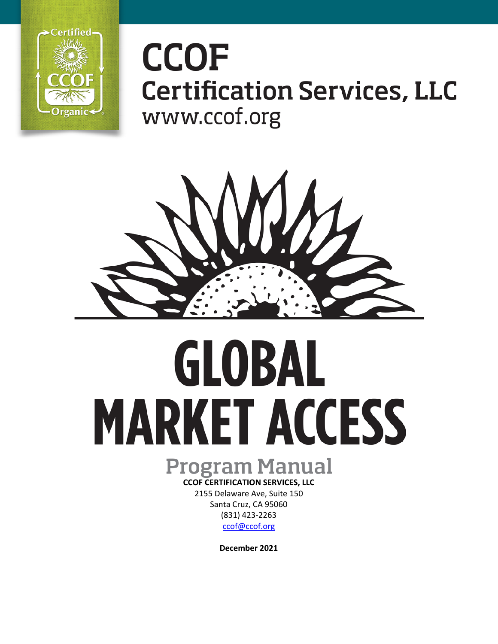

# **CCOF Certification Services, LLC** www.ccof.org



# GLOBAL **MARKET ACCESS**

# **Program Manual**

**CCOF CERTIFICATION SERVICES, LLC** 2155 Delaware Ave, Suite 150 Santa Cruz, CA 95060 (831) 423-2263 [ccof@ccof.org](mailto:ccof@ccof.org) 

**December 2021**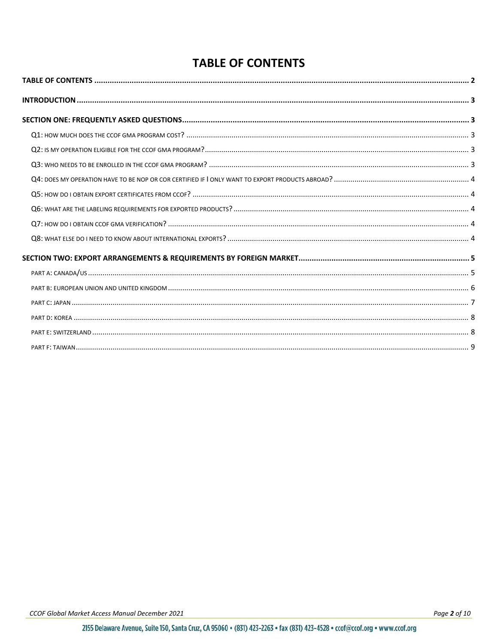## **TABLE OF CONTENTS**

<span id="page-1-0"></span>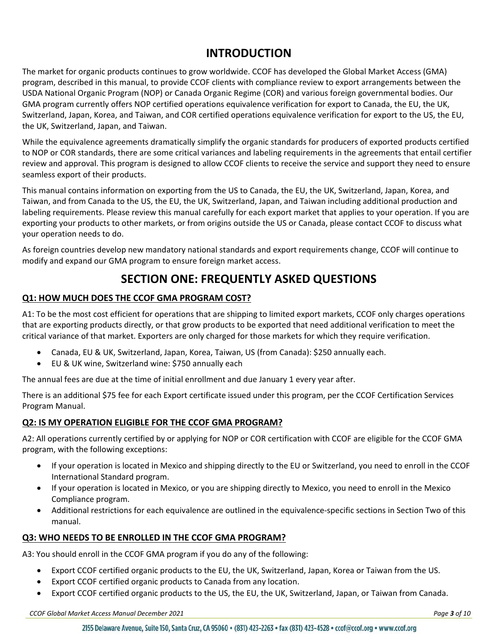### **INTRODUCTION**

<span id="page-2-0"></span>The market for organic products continues to grow worldwide. CCOF has developed the Global [Market Access](http://ccof.org/international) (GMA) program, described in this manual, to provide CCOF clients with compliance review to export arrangements between the USDA National Organic Program (NOP) or Canada Organic Regime (COR) and various foreign governmental bodies. Our GMA program currently offers NOP certified operations equivalence verification for export to Canada, the EU, the UK, Switzerland, Japan, Korea, and Taiwan, and COR certified operations equivalence verification for export to the US, the EU, the UK, Switzerland, Japan, and Taiwan.

While the equivalence agreements dramatically simplify the organic standards for producers of exported products certified to NOP or COR standards, there are some critical variances and labeling requirements in the agreements that entail certifier review and approval. This program is designed to allow CCOF clients to receive the service and support they need to ensure seamless export of their products.

This manual contains information on exporting from the US to Canada, the EU, the UK, Switzerland, Japan, Korea, and Taiwan, and from Canada to the US, the EU, the UK, Switzerland, Japan, and Taiwan including additional production and labeling requirements. Please review this manual carefully for each export market that applies to your operation. If you are exporting your products to other markets, or from origins outside the US or Canada, please contact CCOF to discuss what your operation needs to do.

<span id="page-2-1"></span>As foreign countries develop new mandatory national standards and export requirements change, CCOF will continue to modify and expand our GMA program to ensure foreign market access.

## **SECTION ONE: FREQUENTLY ASKED QUESTIONS**

#### <span id="page-2-2"></span>**Q1: HOW MUCH DOES THE CCOF GMA PROGRAM COST?**

A1: To be the most cost efficient for operations that are shipping to limited export markets, CCOF only charges operations that are exporting products directly, or that grow products to be exported that need additional verification to meet the critical variance of that market. Exporters are only charged for those markets for which they require verification.

- Canada, EU & UK, Switzerland, Japan, Korea, Taiwan, US (from Canada): \$250 annually each.
- EU & UK wine, Switzerland wine: \$750 annually each

The annual fees are due at the time of initial enrollment and due January 1 every year after.

There is an additional \$75 fee for each Export certificate issued under this program, per the CCOF Certification Services Program Manual.

#### <span id="page-2-3"></span>**Q2: IS MY OPERATION ELIGIBLE FOR THE CCOF GMA PROGRAM?**

A2: All operations currently certified by or applying for NOP or COR certification with CCOF are eligible for the CCOF GMA program, with the following exceptions:

- If your operation is located in Mexico and shipping directly to the EU or Switzerland, you need to enroll in the [CCOF](http://ccof.org/international)  [International Standard](http://ccof.org/international) program.
- If your operation is located in Mexico, or you are shipping directly to Mexico, you need to enroll in the Mexico Compliance program.
- Additional restrictions for each equivalence are outlined in the equivalence-specific sections in Section Two of this manual.

#### <span id="page-2-4"></span>**Q3: WHO NEEDS TO BE ENROLLED IN THE CCOF GMA PROGRAM?**

A3: You should enroll in the CCOF GMA program if you do any of the following:

- Export CCOF certified organic products to the EU, the UK, Switzerland, Japan, Korea or Taiwan from the US.
- Export CCOF certified organic products to Canada from any location.
- Export CCOF certified organic products to the US, the EU, the UK, Switzerland, Japan, or Taiwan from Canada.

*CCOF Global Market Access Manual December 2021 Page 3 of 10*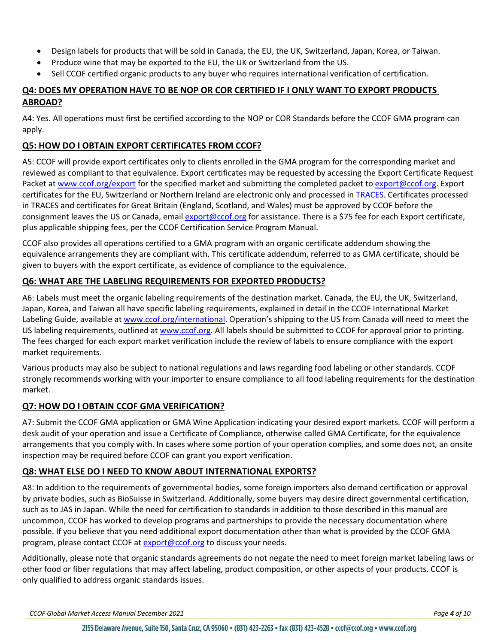- Design labels for products that will be sold in Canada, the EU, the UK, Switzerland, Japan, Korea, or Taiwan.
- Produce wine that may be exported to the EU, the UK or Switzerland from the US.
- Sell CCOF certified organic products to any buyer who requires international verification of certification.

#### <span id="page-3-0"></span>**Q4: DOES MY OPERATION HAVE TO BE NOP OR COR CERTIFIED IF I ONLY WANT TO EXPORT PRODUCTS ABROAD?**

A4: Yes. All operations must first be certified according to the NOP or COR Standards before the CCOF GMA program can apply.

#### <span id="page-3-1"></span>**Q5: HOW DO I OBTAIN EXPORT CERTIFICATES FROM CCOF?**

A5: CCOF will provide export certificates only to clients enrolled in the GMA program for the corresponding market and reviewed as compliant to that equivalence. Export certificates may be requested by accessing the Export Certificate Request Packet at [www.ccof.org/export](http://www.ccof.org/export) for the specified market and submitting the completed packet to [export@ccof.org.](mailto:export@ccof.org) Export certificates for the EU, Switzerland or Northern Ireland are electronic only and processed in [TRACES.](https://webgate.ec.europa.eu/tracesnt/login) Certificates processed in TRACES and certificates for Great Britain (England, Scotland, and Wales) must be approved by CCOF before the consignment leaves the US or Canada, emai[l export@ccof.org](mailto:export@ccof.org) for assistance. There is a \$75 fee for each Export certificate, plus applicable shipping fees, per the CCOF Certification Service Program Manual.

CCOF also provides all operations certified to a GMA program with an organic certificate addendum showing the equivalence arrangements they are compliant with. This certificate addendum, referred to as GMA certificate, should be given to buyers with the export certificate, as evidence of compliance to the equivalence.

#### <span id="page-3-2"></span>**Q6: WHAT ARE THE LABELING REQUIREMENTS FOR EXPORTED PRODUCTS?**

A6: Labels must meet the organic labeling requirements of the destination market. Canada, the EU, the UK, Switzerland, Japan, Korea, and Taiwan all have specific labeling requirements, explained in detail in the CCOF International Market Labeling Guide, available at [www.ccof.org/international.](http://www.ccof.org/certification/international-programs) Operation's shipping to the US from Canada will need to meet the US labeling requirements, outlined a[t www.ccof.org.](http://www.ccof.org/) All labels should be submitted to CCOF for approval prior to printing. The fees charged for each export market verification include the review of labels to ensure compliance with the export market requirements.

Various products may also be subject to national regulations and laws regarding food labeling or other standards. CCOF strongly recommends working with your importer to ensure compliance to all food labeling requirements for the destination market.

#### <span id="page-3-3"></span>**Q7: HOW DO I OBTAIN CCOF GMA VERIFICATION?**

A7: Submit the [CCOF GMA](http://ccof.org/international) application or GMA Wine Application indicating your desired export markets. CCOF will perform a desk audit of your operation and issue a Certificate of Compliance, otherwise called GMA Certificate, for the equivalence arrangements that you comply with. In cases where some portion of your operation complies, and some does not, an onsite inspection may be required before CCOF can grant you export verification.

#### <span id="page-3-4"></span>**Q8: WHAT ELSE DO I NEED TO KNOW ABOUT INTERNATIONAL EXPORTS?**

A8: In addition to the requirements of governmental bodies, some foreign importers also demand certification or approval by private bodies, such as BioSuisse in Switzerland. Additionally, some buyers may desire direct governmental certification, such as to JAS in Japan. While the need for certification to standards in addition to those described in this manual are uncommon, CCOF has worked to develop programs and partnerships to provide the necessary documentation where possible. If you believe that you need additional export documentation other than what is provided by the CCOF GMA program, please contact CCOF at [export@ccof.org](mailto:export@ccof.org) to discuss your needs.

Additionally, please note that organic standards agreements do not negate the need to meet foreign market labeling laws or other food or fiber regulations that may affect labeling, product composition, or other aspects of your products. CCOF is only qualified to address organic standards issues.

*CCOF Global Market Access Manual December 2021 Page 4 of 10*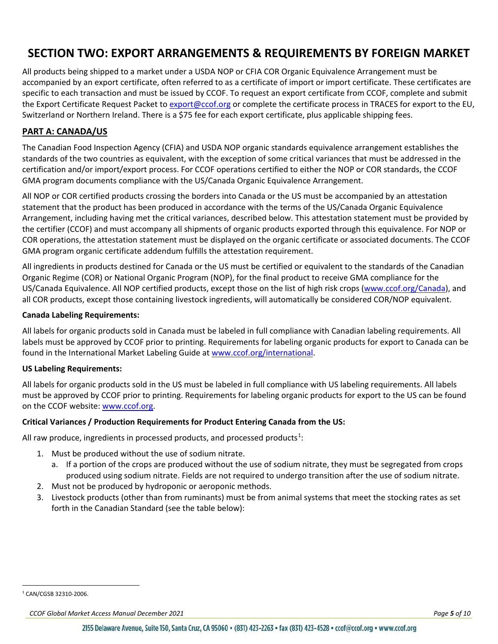## <span id="page-4-0"></span>**SECTION TWO: EXPORT ARRANGEMENTS & REQUIREMENTS BY FOREIGN MARKET**

All products being shipped to a market under a USDA NOP or CFIA COR Organic Equivalence Arrangement must be accompanied by an export certificate, often referred to as a certificate of import or import certificate. These certificates are specific to each transaction and must be issued by CCOF. To request an export certificate from CCOF, complete and submit the Export Certificate Request Packet to [export@ccof.org](mailto:export@ccof.org) or complete the certificate process in TRACES for export to the EU, Switzerland or Northern Ireland. There is a \$75 fee for each export certificate, plus applicable shipping fees.

#### <span id="page-4-1"></span>**PART A: CANADA/US**

The Canadian Food Inspection Agency (CFIA) and USDA NOP organic standards equivalence [arrangement](http://ccof.org/canada) establishes the standards of the two countries as equivalent, with the exception of some critical variances that must be addressed in the certification and/or import/export process. For CCOF operations certified to either the NOP or COR standards, the CCOF GMA program documents compliance with the US/Canada Organic Equivalence Arrangement.

All NOP or COR certified products crossing the borders into Canada or the US must be accompanied by an attestation statement that the product has been produced in accordance with the terms of the US/Canada Organic Equivalence Arrangement, including having met the critical variances, described below. This attestation statement must be provided by the certifier (CCOF) and must accompany all shipments of organic products exported through this equivalence. For NOP or COR operations, the attestation statement must be displayed on the organic certificate or associated documents. The CCOF GMA program organic certificate addendum fulfills the attestation requirement.

All ingredients in products destined for Canada or the US must be certified or equivalent to the standards of the Canadian Organic Regime (COR) or National Organic Program (NOP), for the final product to receive GMA compliance for the US/Canada Equivalence. All NOP certified products, except those on the list of high risk crops (www.ccof.org/Canada), and all COR products, except those containing livestock ingredients, will automatically be considered COR/NOP equivalent.

#### **Canada Labeling Requirements:**

All labels for organic products sold in Canada must be labeled in full compliance with Canadian labeling requirements. All labels must be approved by CCOF prior to printing. Requirements for labeling organic products for export to Canada can be found in the International Market Labeling Guide at www.ccof.org/international.

#### **US Labeling Requirements:**

All labels for organic products sold in the US must be labeled in full compliance with US labeling requirements. All labels must be approved by CCOF prior to printing. Requirements for labeling organic products for export to the US can be found on the CCOF website: [www.ccof.org.](http://www.ccof.org/)

#### **Critical Variances / Production Requirements for Product Entering Canada from the US:**

All raw produce, ingredients in processed products, and processed products<sup>[1](#page-4-2)</sup>:

- 1. Must be produced without the use of sodium nitrate.
	- a. If a portion of the crops are produced without the use of sodium nitrate, they must be segregated from crops produced using sodium nitrate. Fields are not required to undergo transition after the use of sodium nitrate.
- 2. Must not be produced by hydroponic or aeroponic methods.
- 3. Livestock products (other than from ruminants) must be from animal systems that meet the stocking rates as set forth in the Canadian Standard (see the table below):

<span id="page-4-2"></span> <sup>1</sup> CAN/CGSB 32310-2006.

*CCOF Global Market Access Manual December 2021 Page 5 of 10*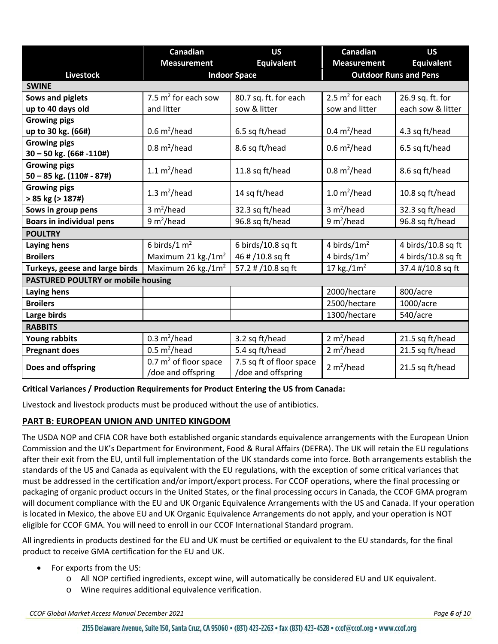|                                                     | Canadian                                            | <b>US</b>                                      | Canadian                                | <b>US</b>          |  |
|-----------------------------------------------------|-----------------------------------------------------|------------------------------------------------|-----------------------------------------|--------------------|--|
|                                                     | <b>Equivalent</b><br><b>Measurement</b>             |                                                | <b>Measurement</b><br><b>Equivalent</b> |                    |  |
| <b>Livestock</b><br><b>SWINE</b>                    | <b>Outdoor Runs and Pens</b><br><b>Indoor Space</b> |                                                |                                         |                    |  |
|                                                     | 7.5 $m^2$ for each sow                              |                                                | 2.5 $m^2$ for each                      |                    |  |
| Sows and piglets                                    |                                                     | 80.7 sq. ft. for each                          |                                         | 26.9 sq. ft. for   |  |
| up to 40 days old                                   | and litter                                          | sow & litter                                   | sow and litter                          | each sow & litter  |  |
| <b>Growing pigs</b>                                 |                                                     |                                                |                                         |                    |  |
| up to 30 kg. (66#)                                  | $0.6 \text{ m}^2$ /head                             | 6.5 sq ft/head                                 | 0.4 $m^2$ /head                         | 4.3 sq ft/head     |  |
| <b>Growing pigs</b><br>$30 - 50$ kg. (66# -110#)    | $0.8 \text{ m}^2$ /head                             | 8.6 sq ft/head                                 | $0.6 \text{ m}^2$ /head                 | 6.5 sq ft/head     |  |
| <b>Growing pigs</b><br>$50 - 85$ kg. $(110# - 87%)$ | 1.1 $m^2$ /head                                     | 11.8 sq ft/head                                | $0.8 \text{ m}^2$ /head                 | 8.6 sq ft/head     |  |
| <b>Growing pigs</b><br>$> 85$ kg ( $> 187$ #)       | 1.3 $m^2$ /head                                     | 14 sq ft/head                                  | $1.0 \text{ m}^2$ /head                 | 10.8 sq ft/head    |  |
| Sows in group pens                                  | 3 m <sup>2</sup> /head                              | 32.3 sq ft/head                                | 3 m <sup>2</sup> /head                  | 32.3 sq ft/head    |  |
| <b>Boars in individual pens</b>                     | 9 m <sup>2</sup> /head                              | 96.8 sq ft/head                                | 9 $m^2/h$ ead                           | 96.8 sq ft/head    |  |
| <b>POULTRY</b>                                      |                                                     |                                                |                                         |                    |  |
| Laying hens                                         | 6 birds/1 $m2$                                      | 6 birds/10.8 sq ft                             | 4 birds/ $1m2$                          | 4 birds/10.8 sq ft |  |
| <b>Broilers</b>                                     | Maximum 21 kg./1m <sup>2</sup>                      | 46 # /10.8 sq ft                               | 4 birds/ $1m2$                          | 4 birds/10.8 sq ft |  |
| Turkeys, geese and large birds                      | Maximum 26 kg./ $1m2$                               | 57.2 # /10.8 sq ft                             | 17 kg./ $1m2$                           | 37.4 #/10.8 sq ft  |  |
| <b>PASTURED POULTRY or mobile housing</b>           |                                                     |                                                |                                         |                    |  |
| Laying hens                                         |                                                     |                                                | 2000/hectare                            | 800/acre           |  |
| <b>Broilers</b>                                     |                                                     |                                                | 2500/hectare                            | 1000/acre          |  |
| Large birds                                         |                                                     |                                                | 1300/hectare                            | 540/acre           |  |
| <b>RABBITS</b>                                      |                                                     |                                                |                                         |                    |  |
| <b>Young rabbits</b>                                | 0.3 $m^2$ /head                                     | 3.2 sq ft/head                                 | 2 m <sup>2</sup> /head                  | 21.5 sq ft/head    |  |
| <b>Pregnant does</b>                                | $0.5 \text{ m}^2$ /head                             | 5.4 sq ft/head                                 | 2 m <sup>2</sup> /head                  | 21.5 sq ft/head    |  |
| Does and offspring                                  | 0.7 $m^2$ of floor space<br>/doe and offspring      | 7.5 sq ft of floor space<br>/doe and offspring | 2 $m^2/h$ ead                           | 21.5 sq ft/head    |  |

#### **Critical Variances / Production Requirements for Product Entering the US from Canada:**

Livestock and livestock products must be produced without the use of antibiotics.

#### <span id="page-5-0"></span>**PART B: EUROPEAN UNION AND UNITED KINGDOM**

The USDA NOP and CFIA COR have both established organic standards equivalence arrangements with the European Union Commission and the UK's Department for Environment, Food & Rural Affairs (DEFRA). The UK will retain the EU regulations after their exit from the EU, until full implementation of the UK standards come into force. Both arrangements establish the standards of the US and Canada as equivalent with the EU regulations, with the exception of some critical variances that must be addressed in the certification and/or import/export process. For CCOF operations, where the final processing or packaging of organic product occurs in the United States, or the final processing occurs in Canada, the CCOF GMA program will document compliance with the EU and UK Organic Equivalence Arrangements with the US and Canada. If your operation is located in Mexico, the above EU and UK Organic Equivalence Arrangements do not apply, and your operation is NOT eligible for CCOF GMA. You will need to enroll in our [CCOF International Standard](http://ccof.org/international) program.

All ingredients in products destined for the EU and UK must be certified or equivalent to the EU standards, for the final product to receive GMA certification for the EU and UK.

- For exports from the US:
	- o All NOP certified ingredients, except wine, will automatically be considered EU and UK equivalent.
	- o Wine requires additional equivalence verification.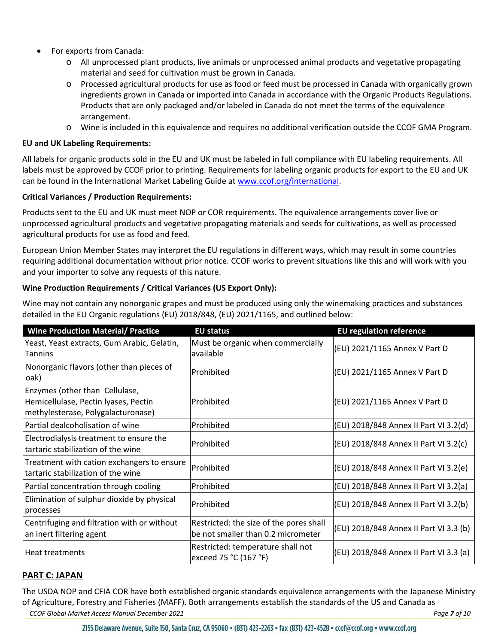- For exports from Canada:
	- o All unprocessed plant products, live animals or unprocessed animal products and vegetative propagating material and seed for cultivation must be grown in Canada.
	- o Processed agricultural products for use as food or feed must be processed in Canada with organically grown ingredients grown in Canada or imported into Canada in accordance with the Organic Products Regulations. Products that are only packaged and/or labeled in Canada do not meet the terms of the equivalence arrangement.
	- o Wine is included in this equivalence and requires no additional verification outside the CCOF GMA Program.

#### **EU and UK Labeling Requirements:**

All labels for organic products sold in the EU and UK must be labeled in full compliance with EU labeling requirements. All labels must be approved by CCOF prior to printing. Requirements for labeling organic products for export to the EU and UK can be found in the International Market Labeling Guide at [www.ccof.org/international.](file://ccof-file2/Shared/CCOF%20Certification%20Services/WIP%20Controlled%20Documents/IN%20PROCESS/OSP%20Update-%20Gamai/www.ccof.org/international)

#### **Critical Variances / Production Requirements:**

Products sent to the EU and UK must meet NOP or COR requirements. The equivalence arrangements cover live or unprocessed agricultural products and vegetative propagating materials and seeds for cultivations, as well as processed agricultural products for use as food and feed.

European Union Member States may interpret the EU regulations in different ways, which may result in some countries requiring additional documentation without prior notice. CCOF works to prevent situations like this and will work with you and your importer to solve any requests of this nature.

#### **Wine Production Requirements / Critical Variances (US Export Only):**

Wine may not contain any nonorganic grapes and must be produced using only the winemaking practices and substances detailed in the EU Organic regulations (EU) 2018/848, (EU) 2021/1165, and outlined below:

| <b>Wine Production Material/ Practice</b>                                                                    | <b>EU status</b>                                                              | <b>EU regulation reference</b>         |
|--------------------------------------------------------------------------------------------------------------|-------------------------------------------------------------------------------|----------------------------------------|
| Yeast, Yeast extracts, Gum Arabic, Gelatin,<br>Tannins                                                       | Must be organic when commercially<br>available                                | (EU) 2021/1165 Annex V Part D          |
| Nonorganic flavors (other than pieces of<br>oak)                                                             | <b>Prohibited</b>                                                             | (EU) 2021/1165 Annex V Part D          |
| Enzymes (other than Cellulase,<br>Hemicellulase, Pectin lyases, Pectin<br>methylesterase, Polygalacturonase) | <b>IProhibited</b>                                                            | (EU) 2021/1165 Annex V Part D          |
| Partial dealcoholisation of wine                                                                             | Prohibited                                                                    | (EU) 2018/848 Annex II Part VI 3.2(d)  |
| Electrodialysis treatment to ensure the<br>tartaric stabilization of the wine                                | lProhibited                                                                   | (EU) 2018/848 Annex II Part VI 3.2(c)  |
| Treatment with cation exchangers to ensure<br>tartaric stabilization of the wine                             | <b>Prohibited</b>                                                             | (EU) 2018/848 Annex II Part VI 3.2(e)  |
| Partial concentration through cooling                                                                        | <b>Prohibited</b>                                                             | (EU) 2018/848 Annex II Part VI 3.2(a)  |
| Elimination of sulphur dioxide by physical<br>processes                                                      | <b>Prohibited</b>                                                             | (EU) 2018/848 Annex II Part VI 3.2(b)  |
| Centrifuging and filtration with or without<br>an inert filtering agent                                      | Restricted: the size of the pores shall<br>be not smaller than 0.2 micrometer | (EU) 2018/848 Annex II Part VI 3.3 (b) |
| Heat treatments                                                                                              | Restricted: temperature shall not<br>exceed 75 °C (167 °F)                    | (EU) 2018/848 Annex II Part VI 3.3 (a) |

#### <span id="page-6-0"></span>**PART C: JAPAN**

*CCOF Global Market Access Manual December 2021 Page 7 of 10* The USDA NOP and CFIA COR have both established organic standards equivalence arrangements with the Japanese Ministry of Agriculture, Forestry and Fisheries (MAFF). Both arrangements establish the standards of the US and Canada as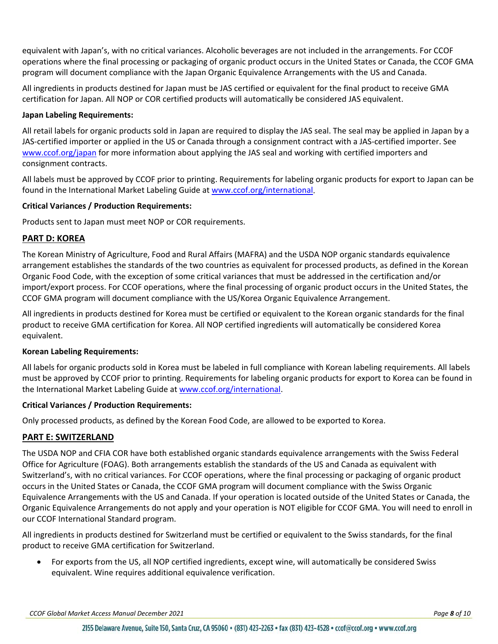equivalent with Japan's, with no critical variances. Alcoholic beverages are not included in the arrangements. For CCOF operations where the final processing or packaging of organic product occurs in the United States or Canada, the CCOF GMA program will document compliance with the Japan Organic Equivalence Arrangements with the US and Canada.

All ingredients in products destined for Japan must be JAS certified or equivalent for the final product to receive GMA certification for Japan. All NOP or COR certified products will automatically be considered JAS equivalent.

#### **Japan Labeling Requirements:**

All retail labels for organic products sold in Japan are required to display the JAS seal. The seal may be applied in Japan by a JAS-certified importer or applied in the US or Canada through a consignment contract with a JAS-certified importer. See [www.ccof.org/japan](http://www.ccof.org/certification/international-programs/japan) for more information about applying the JAS seal and working with certified importers and consignment contracts.

All labels must be approved by CCOF prior to printing. Requirements for labeling organic products for export to Japan can be found in the International Market Labeling Guide at [www.ccof.org/international.](file://ccof-file2/Shared/CCOF%20Certification%20Services/WIP%20Controlled%20Documents/IN%20PROCESS/OSP%20Update-%20Gamai/www.ccof.org/international)

#### **Critical Variances / Production Requirements:**

Products sent to Japan must meet NOP or COR requirements.

#### <span id="page-7-0"></span>**PART D: KOREA**

The Korean Ministry of Agriculture, Food and Rural Affairs (MAFRA) and the USDA NOP organic standards equivalence arrangement establishes the standards of the two countries as equivalent for processed products, as defined in the Korean Organic Food Code, with the exception of some critical variances that must be addressed in the certification and/or import/export process. For CCOF operations, where the final processing of organic product occurs in the United States, the CCOF GMA program will document compliance with the US/Korea Organic Equivalence Arrangement.

All ingredients in products destined for Korea must be certified or equivalent to the Korean organic standards for the final product to receive GMA certification for Korea. All NOP certified ingredients will automatically be considered Korea equivalent.

#### **Korean Labeling Requirements:**

All labels for organic products sold in Korea must be labeled in full compliance with Korean labeling requirements. All labels must be approved by CCOF prior to printing. Requirements for labeling organic products for export to Korea can be found in the International Market Labeling Guide a[t www.ccof.org/international.](file://ccof-file2/Shared/CCOF%20Certification%20Services/WIP%20Controlled%20Documents/IN%20PROCESS/OSP%20Update-%20Gamai/www.ccof.org/international)

#### **Critical Variances / Production Requirements:**

Only processed products, as defined by the Korean Food Code, are allowed to be exported to Korea.

#### <span id="page-7-1"></span>**PART E: SWITZERLAND**

The USDA NOP and CFIA COR have both established organic standards equivalence arrangements with the Swiss Federal Office for Agriculture (FOAG). Both arrangements establish the standards of the US and Canada as equivalent with Switzerland's, with no critical variances. For CCOF operations, where the final processing or packaging of organic product occurs in the United States or Canada, the CCOF GMA program will document compliance with the Swiss Organic Equivalence Arrangements with the US and Canada. If your operation is located outside of the United States or Canada, the Organic Equivalence Arrangements do not apply and your operation is NOT eligible for CCOF GMA. You will need to enroll in our [CCOF International Standard](http://ccof.org/international) program.

All ingredients in products destined for Switzerland must be certified or equivalent to the Swiss standards, for the final product to receive GMA certification for Switzerland.

• For exports from the US, all NOP certified ingredients, except wine, will automatically be considered Swiss equivalent. Wine requires additional equivalence verification.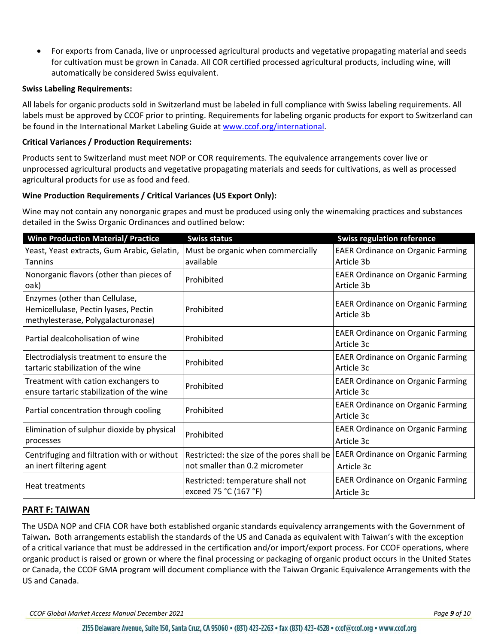• For exports from Canada, live or unprocessed agricultural products and vegetative propagating material and seeds for cultivation must be grown in Canada. All COR certified processed agricultural products, including wine, will automatically be considered Swiss equivalent.

#### **Swiss Labeling Requirements:**

All labels for organic products sold in Switzerland must be labeled in full compliance with Swiss labeling requirements. All labels must be approved by CCOF prior to printing. Requirements for labeling organic products for export to Switzerland can be found in the International Market Labeling Guide at [www.ccof.org/international.](file://ccof-file2/Shared/CCOF%20Certification%20Services/WIP%20Controlled%20Documents/IN%20PROCESS/OSP%20Update-%20Gamai/www.ccof.org/international)

#### **Critical Variances / Production Requirements:**

Products sent to Switzerland must meet NOP or COR requirements. The equivalence arrangements cover live or unprocessed agricultural products and vegetative propagating materials and seeds for cultivations, as well as processed agricultural products for use as food and feed.

#### **Wine Production Requirements / Critical Variances (US Export Only):**

Wine may not contain any nonorganic grapes and must be produced using only the winemaking practices and substances detailed in the Swiss Organic Ordinances and outlined below:

| <b>Wine Production Material/ Practice</b>                                                                    | <b>Swiss status</b>                                                           | <b>Swiss regulation reference</b>                      |
|--------------------------------------------------------------------------------------------------------------|-------------------------------------------------------------------------------|--------------------------------------------------------|
| Yeast, Yeast extracts, Gum Arabic, Gelatin,                                                                  | Must be organic when commercially                                             | <b>EAER Ordinance on Organic Farming</b>               |
| <b>Tannins</b>                                                                                               | available                                                                     | Article 3b                                             |
| Nonorganic flavors (other than pieces of<br>oak)                                                             | Prohibited                                                                    | <b>EAER Ordinance on Organic Farming</b><br>Article 3b |
| Enzymes (other than Cellulase,<br>Hemicellulase, Pectin lyases, Pectin<br>methylesterase, Polygalacturonase) | Prohibited                                                                    | <b>EAER Ordinance on Organic Farming</b><br>Article 3b |
| Partial dealcoholisation of wine                                                                             | Prohibited                                                                    | <b>EAER Ordinance on Organic Farming</b><br>Article 3c |
| Electrodialysis treatment to ensure the<br>tartaric stabilization of the wine                                | Prohibited                                                                    | <b>EAER Ordinance on Organic Farming</b><br>Article 3c |
| Treatment with cation exchangers to<br>ensure tartaric stabilization of the wine                             | Prohibited                                                                    | <b>EAER Ordinance on Organic Farming</b><br>Article 3c |
| Partial concentration through cooling                                                                        | Prohibited                                                                    | <b>EAER Ordinance on Organic Farming</b><br>Article 3c |
| Elimination of sulphur dioxide by physical<br>processes                                                      | Prohibited                                                                    | <b>EAER Ordinance on Organic Farming</b><br>Article 3c |
| Centrifuging and filtration with or without<br>an inert filtering agent                                      | Restricted: the size of the pores shall be<br>not smaller than 0.2 micrometer | <b>EAER Ordinance on Organic Farming</b><br>Article 3c |
| Heat treatments                                                                                              | Restricted: temperature shall not<br>exceed 75 °C (167 °F)                    | <b>EAER Ordinance on Organic Farming</b><br>Article 3c |

#### <span id="page-8-0"></span>**PART F: TAIWAN**

The USDA NOP and CFIA COR have both established organic standards equivalency arrangements with the Government of Taiwan**.** Both arrangements establish the standards of the US and Canada as equivalent with Taiwan's with the exception of a critical variance that must be addressed in the certification and/or import/export process. For CCOF operations, where organic product is raised or grown or where the final processing or packaging of organic product occurs in the United States or Canada, the CCOF GMA program will document compliance with the Taiwan Organic Equivalence Arrangements with the US and Canada.

*CCOF Global Market Access Manual December 2021 Page 9 of 10*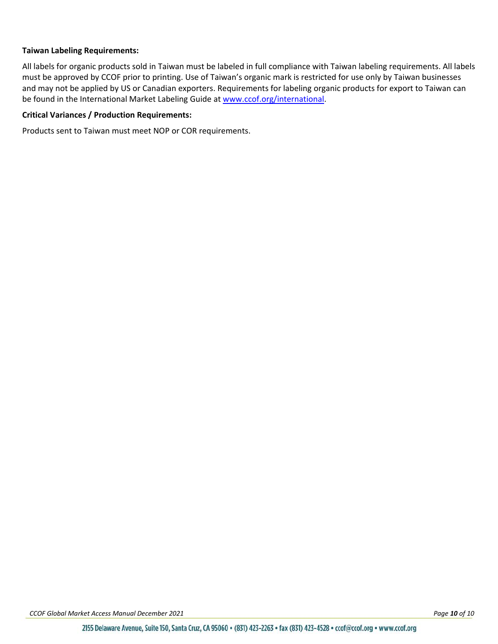#### **Taiwan Labeling Requirements:**

All labels for organic products sold in Taiwan must be labeled in full compliance with Taiwan labeling requirements. All labels must be approved by CCOF prior to printing. Use of Taiwan's organic mark is restricted for use only by Taiwan businesses and may not be applied by US or Canadian exporters. Requirements for labeling organic products for export to Taiwan can be found in the International Market Labeling Guide at [www.ccof.org/international.](file://ccof-file2/Shared/CCOF%20Certification%20Services/WIP%20Controlled%20Documents/IN%20PROCESS/OSP%20Update-%20Gamai/www.ccof.org/international)

#### **Critical Variances / Production Requirements:**

Products sent to Taiwan must meet NOP or COR requirements.

*CCOF Global Market Access Manual December 2021 Page 10 of 10*